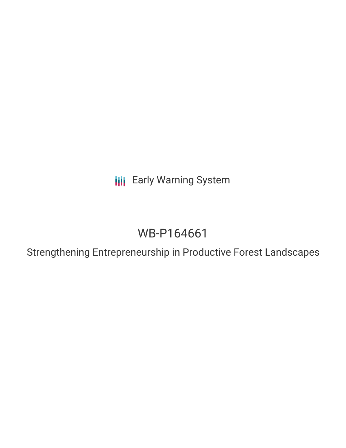**III** Early Warning System

# WB-P164661

Strengthening Entrepreneurship in Productive Forest Landscapes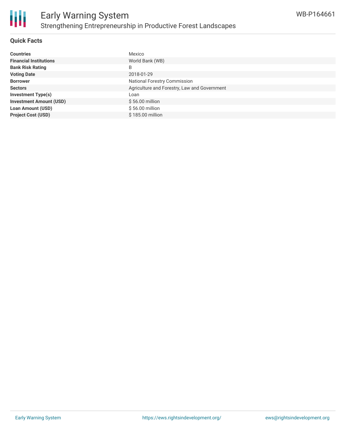

#### **Quick Facts**

| <b>Countries</b>               | Mexico                                       |
|--------------------------------|----------------------------------------------|
| <b>Financial Institutions</b>  | World Bank (WB)                              |
| <b>Bank Risk Rating</b>        | B                                            |
| <b>Voting Date</b>             | 2018-01-29                                   |
| <b>Borrower</b>                | <b>National Forestry Commission</b>          |
| <b>Sectors</b>                 | Agriculture and Forestry, Law and Government |
| <b>Investment Type(s)</b>      | Loan                                         |
| <b>Investment Amount (USD)</b> | $$56.00$ million                             |
| <b>Loan Amount (USD)</b>       | $$56.00$ million                             |
| <b>Project Cost (USD)</b>      | \$185,00 million                             |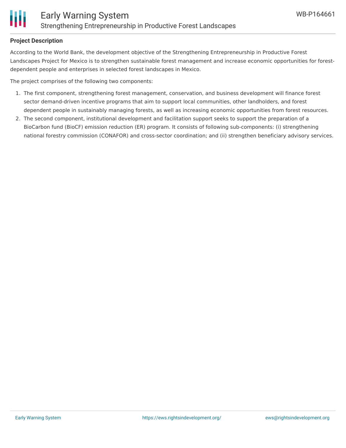

#### **Project Description**

According to the World Bank, the development objective of the Strengthening Entrepreneurship in Productive Forest Landscapes Project for Mexico is to strengthen sustainable forest management and increase economic opportunities for forestdependent people and enterprises in selected forest landscapes in Mexico.

The project comprises of the following two components:

- 1. The first component, strengthening forest management, conservation, and business development will finance forest sector demand-driven incentive programs that aim to support local communities, other landholders, and forest dependent people in sustainably managing forests, as well as increasing economic opportunities from forest resources.
- 2. The second component, institutional development and facilitation support seeks to support the preparation of a BioCarbon fund (BioCF) emission reduction (ER) program. It consists of following sub-components: (i) strengthening national forestry commission (CONAFOR) and cross-sector coordination; and (ii) strengthen beneficiary advisory services.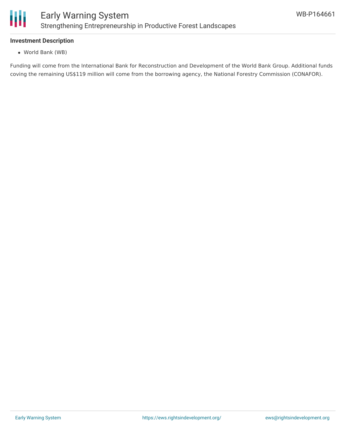

#### **Investment Description**

World Bank (WB)

Funding will come from the International Bank for Reconstruction and Development of the World Bank Group. Additional funds coving the remaining US\$119 million will come from the borrowing agency, the National Forestry Commission (CONAFOR).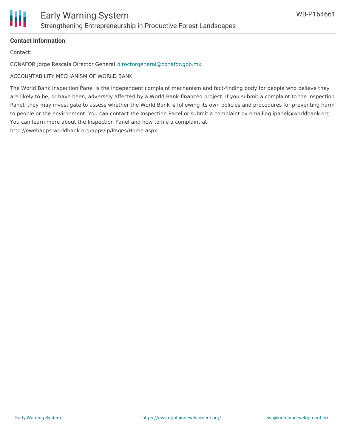

### **Contact Information**

Contact:

CONAFOR Jorge Rescala Director General [directorgeneral@conafor.gob.mx](mailto:directorgeneral@conafor.gob.mx)

ACCOUNTABILITY MECHANISM OF WORLD BANK

The World Bank Inspection Panel is the independent complaint mechanism and fact-finding body for people who believe they are likely to be, or have been, adversely affected by a World Bank-financed project. If you submit a complaint to the Inspection Panel, they may investigate to assess whether the World Bank is following its own policies and procedures for preventing harm to people or the environment. You can contact the Inspection Panel or submit a complaint by emailing ipanel@worldbank.org. You can learn more about the Inspection Panel and how to file a complaint at: http://ewebapps.worldbank.org/apps/ip/Pages/Home.aspx.